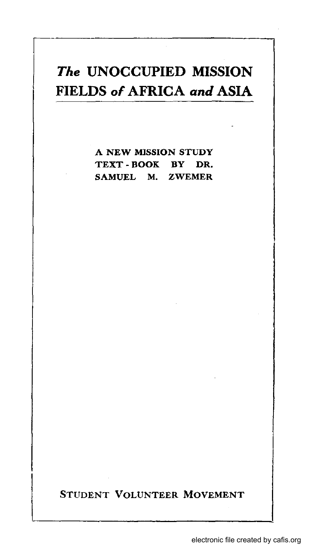## *The* **UNOCCUPIED MISSION FIELDS of AFRICA and ASIA**

A NEW MISSION STUDY TEXT - BOOK BY DR. SAMUEL M. ZWEMER

STUDENT VOLUNTEER MOVEMENT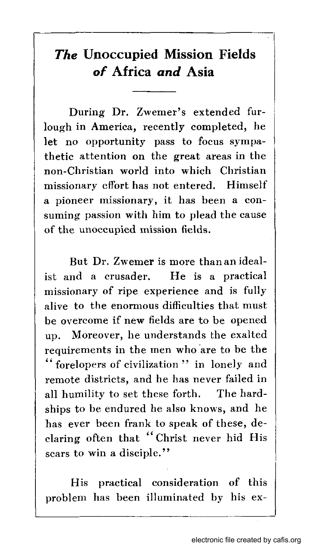## *The* **Unoccupied Mission Fields**  *of* **Africa** *and* **Asia**

I

During Dr. Zwemer's extended furlough in America, recently completed, he let no opportunity pass to focus sympathetic attention on the great areas in the non-Christian world into which Christian missionary effort has not entered. Himself a pioneer missionary, it has been a consuming passion with him to plead the cause of the unoccupied mission fields.

But Dr. Zwemer is more than an idealist and a crusader. He is a practical missionary of ripe experience and is fully alive to the enormous difficulties that must be overcome if new fields are to be opened up. Moreover, he understands the exalted requirements in the men who 'are to be the " forelopers of civilization" in lonely and remote districts, and he has never failed in all humility to set these forth. The hardships to be endured he also knows, and he has ever been frank to speak of these, declaring often that" Christ never hid His scars to win a disciple."

His practical consideration of this<br>problem has been illuminated by his ex-His practical consideration of this

 $\mathsf{I}$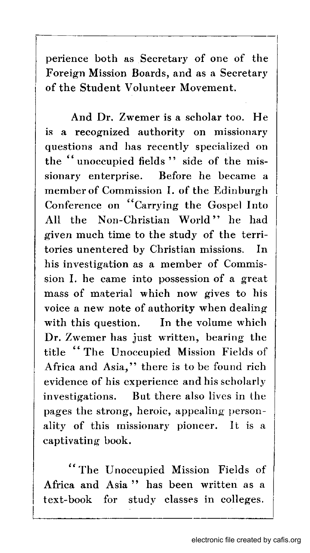perience both as Secretary of one of the Foreign Mission Boards, and as a Secretary of the Student Volunteer Movement.

And Dr. Zwemer is a scholar too. He is a recognized authority on missionary questions and has recently specialized on the "unoccupied fields" side of the missionary enterprise. Before he became a member of Commission I. of the Edinburgh Conference on "Carrying the Gospel Into All the Non-Christian World" he had given much time to the study of the territories unentered by Christian missions. In his investigation as a member of Commission I. he came into possession of a great mass of material which now gives to his voice a new note of authority when dealing with this question. In the volume which Dr. Zwemer has just written, bearing the title "The Unoccupied Mission Fields of Africa and Asia," there is to be found rich evidence of his experience and his scholarly investigations. But there also lives in the pages the strong, heroic, appealing' personality of this missionary pioneer. It is a captivating book.

"The Unoccupied Mission Fields of Africa and Asia" has been written as a text-book for study classes in colleges.